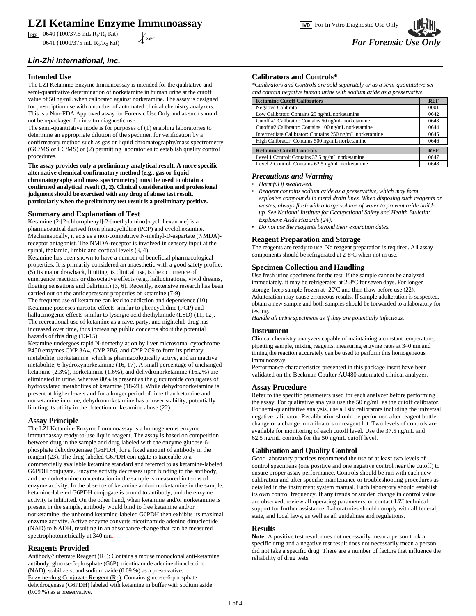# **LZI Ketamine Enzyme Immunoassay**

 $\overline{REF}$  0640 (100/37.5 mL R<sub>1</sub>/R<sub>2</sub> Kit)

*Lin-Zhi International, Inc.*

## **Intended Use**

The LZI Ketamine Enzyme Immunoassay is intended for the qualitative and semi-quantitative determination of norketamine in human urine at the cutoff value of 50 ng/mL when calibrated against norketamine. The assay is designed for prescription use with a number of automated clinical chemistry analyzers. This is a Non-FDA Approved assay for Forensic Use Only and as such should not be repackaged for in vitro diagnostic use.

The semi-quantitative mode is for purposes of (1) enabling laboratories to determine an appropriate dilution of the specimen for verification by a confirmatory method such as gas or liquid chromatography/mass spectrometry (GC/MS or LC/MS) or (2) permitting laboratories to establish quality control procedures.

**The assay provides only a preliminary analytical result. A more specific alternative chemical confirmatory method (e.g., gas or liquid chromatography and mass spectrometry) must be used to obtain a confirmed analytical result (1, 2). Clinical consideration and professional judgment should be exercised with any drug of abuse test result, particularly when the preliminary test result is a preliminary positive.** 

## **Summary and Explanation of Test**

Ketamine (2-[2-chlorophenyl]-2-[methylamino]-cyclohexanone) is a pharmaceutical derived from phencyclidine (PCP) and cyclohexamine. Mechanistically, it acts as a non-competitive N-methyl-D-aspartate (NMDA) receptor antagonist. The NMDA-receptor is involved in sensory input at the spinal, thalamic, limbic and cortical levels (3, 4).

Ketamine has been shown to have a number of beneficial pharmacological properties. It is primarily considered an anaesthetic with a good safety profile. (5) Its major drawback, limiting its clinical use, is the occurrence of emergence reactions or dissociative effects (e.g., hallucinations, vivid dreams, floating sensations and delirium.) (3, 6). Recently, extensive research has been carried out on the antidepressant properties of ketamine (7-9).

The frequent use of ketamine can lead to addiction and dependence (10). Ketamine posseses narcotic effects similar to phencyclidine (PCP) and hallucinogenic effects similar to lysergic acid diethylamide (LSD) (11, 12). The recreational use of ketamine as a rave, party, and nightclub drug has increased over time, thus increasing public concerns about the potential hazards of this drug (13-15).

Ketamine undergoes rapid N-demethylation by liver microsomal cytochrome P450 enzymes CYP 3A4, CYP 2B6, and CYP 2C9 to form its primary metabolite, norketamine, which is pharmacologically active, and an inactive metabolite, 6-hydroxynorketamine (16, 17). A small percentage of unchanged ketamine (2.3%), norketamine (1.6%), and dehydronorketamine (16.2%) are eliminated in urine, whereas 80% is present as the glucuronide conjugates of hydroxylated metabolites of ketamine (18-21). While dehydronorketamine is present at higher levels and for a longer period of time than ketamine and norketamine in urine, dehydronorketamine has a lower stability, potentially limiting its utility in the detection of ketamine abuse (22).

## **Assay Principle**

The LZI Ketamine Enzyme Immunoassay is a homogeneous enzyme immunoassay ready-to-use liquid reagent. The assay is based on competition between drug in the sample and drug labeled with the enzyme glucose-6 phosphate dehydrogenase (G6PDH) for a fixed amount of antibody in the reagent (23). The drug-labeled G6PDH conjugate is traceable to a commercially available ketamine standard and referred to as ketamine-labeled G6PDH conjugate. Enzyme activity decreases upon binding to the antibody, and the norketamine concentration in the sample is measured in terms of enzyme activity. In the absence of ketamine and/or norketamine in the sample, ketamine-labeled G6PDH conjugate is bound to antibody, and the enzyme activity is inhibited. On the other hand, when ketamine and/or norketamine is present in the sample, antibody would bind to free ketamine and/or norketamine; the unbound ketamine-labeled G6PDH then exhibits its maximal enzyme activity. Active enzyme converts nicotinamide adenine dinucleotide (NAD) to NADH, resulting in an absorbance change that can be measured spectrophotometrically at 340 nm.

## **Reagents Provided**

Antibody/Substrate Reagent  $(R_1)$ : Contains a mouse monoclonal anti-ketamine antibody, glucose-6-phosphate (G6P), nicotinamide adenine dinucleotide (NAD), stabilizers, and sodium azide (0.09 %) as a preservative. Enzyme-drug Conjugate Reagent  $(R_2)$ : Contains glucose-6-phosphate dehydrogenase (G6PDH) labeled with ketamine in buffer with sodium azide (0.09 %) as a preservative.

## **Calibrators and Controls\***

*\*Calibrators and Controls are sold separately or as a semi-quantitative set and contain negative human urine with sodium azide as a preservative.*

| <b>Ketamine Cutoff Calibrators</b>                      | <b>REF</b> |  |  |
|---------------------------------------------------------|------------|--|--|
| <b>Negative Calibrator</b>                              | 0001       |  |  |
| Low Calibrator: Contains 25 ng/mL norketamine           | 0642       |  |  |
| Cutoff#1 Calibrator: Contains 50 ng/mL norketamine      |            |  |  |
| Cutoff #2 Calibrator: Contains 100 ng/mL norketamine    | 0644       |  |  |
| Intermediate Calibrator: Contains 250 ng/mL norketamine |            |  |  |
| High Calibrator: Contains 500 ng/mL norketamine         |            |  |  |
| <b>Ketamine Cutoff Controls</b>                         | <b>REF</b> |  |  |
| Level 1 Control: Contains 37.5 ng/mL norketamine        | 0647       |  |  |
|                                                         |            |  |  |
| Level 2 Control: Contains 62.5 ng/mL norketamine        | 0648       |  |  |

## *Precautions and Warning*

- *Harmful if swallowed.*
- *Reagent contains sodium azide as a preservative, which may form explosive compounds in metal drain lines. When disposing such reagents or wastes, always flush with a large volume of water to prevent azide buildup. See National Institute for Occupational Safety and Health Bulletin: Explosive Azide Hazards (24).*
- *Do not use the reagents beyond their expiration dates.*

## **Reagent Preparation and Storage**

The reagents are ready to use. No reagent preparation is required. All assay components should be refrigerated at 2-8ºC when not in use.

## **Specimen Collection and Handling**

Use fresh urine specimens for the test. If the sample cannot be analyzed immediately, it may be refrigerated at 2-8ºC for seven days. For longer storage, keep sample frozen at -20ºC and then thaw before use (22). Adulteration may cause erroneous results. If sample adulteration is suspected, obtain a new sample and both samples should be forwarded to a laboratory for testing.

*Handle all urine specimens as if they are potentially infectious.* 

## **Instrument**

Clinical chemistry analyzers capable of maintaining a constant temperature, pipetting sample, mixing reagents, measuring enzyme rates at 340 nm and timing the reaction accurately can be used to perform this homogeneous immunoassay.

Performance characteristics presented in this package insert have been validated on the Beckman Coulter AU480 automated clinical analyzer.

### **Assay Procedure**

Refer to the specific parameters used for each analyzer before performing the assay. For qualitative analysis use the 50 ng/mL as the cutoff calibrator. For semi-quantitative analysis, use all six calibrators including the universal negative calibrator. Recalibration should be performed after reagent bottle change or a change in calibrators or reagent lot. Two levels of controls are available for monitoring of each cutoff level. Use the 37.5 ng/mL and 62.5 ng/mL controls for the 50 ng/mL cutoff level.

## **Calibration and Quality Control**

Good laboratory practices recommend the use of at least two levels of control specimens (one positive and one negative control near the cutoff) to ensure proper assay performance. Controls should be run with each new calibration and after specific maintenance or troubleshooting procedures as detailed in the instrument system manual. Each laboratory should establish its own control frequency. If any trends or sudden change in control value are observed, review all operating parameters, or contact LZI technical support for further assistance. Laboratories should comply with all federal, state, and local laws, as well as all guidelines and regulations.

### **Results**

**Note:** A positive test result does not necessarily mean a person took a specific drug and a negative test result does not necessarily mean a person did not take a specific drug. There are a number of factors that influence the reliability of drug tests.

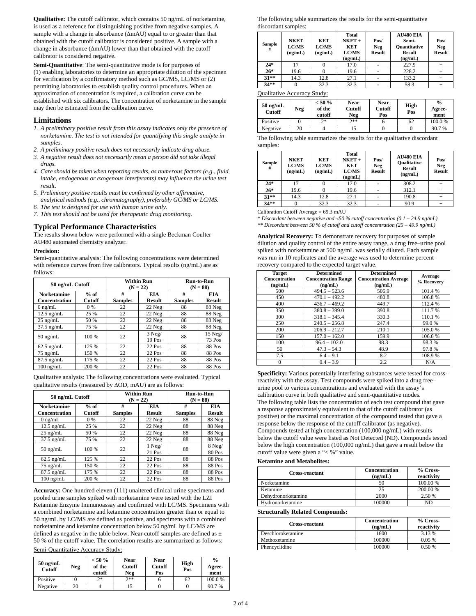**Qualitative:** The cutoff calibrator, which contains 50 ng/mL of norketamine, is used as a reference for distinguishing positive from negative samples. A sample with a change in absorbance (∆mAU) equal to or greater than that obtained with the cutoff calibrator is considered positive. A sample with a change in absorbance (∆mAU) lower than that obtained with the cutoff calibrator is considered negative.

**Semi-Quantitative**: The semi-quantitative mode is for purposes of (1) enabling laboratories to determine an appropriate dilution of the specimen for verification by a confirmatory method such as GC/MS, LC/MS or (2) permitting laboratories to establish quality control procedures. When an approximation of concentration is required, a calibration curve can be established with six calibrators. The concentration of norketamine in the sample may then be estimated from the calibration curve.

## **Limitations**

- *1. A preliminary positive result from this assay indicates only the presence of norketamine. The test is not intended for quantifying this single analyte in samples.*
- *2. A preliminary positive result does not necessarily indicate drug abuse.*
- *3. A negative result does not necessarily mean a person did not take illegal drugs.*
- *4. Care should be taken when reporting results, as numerous factors (e.g., fluid intake, endogenous or exogenous interferants) may influence the urine test result.*
- *5. Preliminary positive results must be confirmed by other affirmative, analytical methods (e.g., chromatography), preferably GC/MS or LC/MS.*
- *6. The test is designed for use with human urine only.*
- *7. This test should not be used for therapeutic drug monitoring.*

## **Typical Performance Characteristics**

The results shown below were performed with a single Beckman Coulter AU480 automated chemistry analyzer.

### **Precision:**

Semi-quantitative analysis: The following concentrations were determined with reference curves from five calibrators. Typical results (ng/mL) are as follows:

| 50 ng/mL Cutoff      |               |                | <b>Within Run</b><br>$(N = 22)$ | <b>Run-to-Run</b><br>$(N = 88)$ |                     |
|----------------------|---------------|----------------|---------------------------------|---------------------------------|---------------------|
| <b>Norketamine</b>   | $%$ of        | #              | EIA                             | #                               | <b>EIA</b>          |
| <b>Concentration</b> | <b>Cutoff</b> | <b>Samples</b> | <b>Result</b>                   | <b>Samples</b>                  | <b>Result</b>       |
| $0$ ng/mL            | 0 %           | 22             | 22 Neg                          | 88                              | 88 Neg              |
| $12.5$ ng/mL         | 25 %          | 22             | 22 Neg                          | 88                              | 88 Neg              |
| $25$ ng/mL           | 50 %          | 22             | 22 Neg                          | 88                              | 88 Neg              |
| $37.5$ ng/mL         | 75 %          | 22             | 22 Neg                          | 88                              | 88 Neg              |
| $50$ ng/mL           | 100 %         | 22             | $3$ Neg/<br>19 Pos              | 88                              | $15$ Neg/<br>73 Pos |
| $62.5$ ng/mL         | 125 %         | 22             | $22$ Pos                        | 88                              | 88 Pos              |
| $75 \text{ ng/mL}$   | 150 %         | 22             | 22 Pos                          | 88                              | 88 Pos              |
| $87.5$ ng/mL         | 175 %         | 22             | 22 Pos                          | 88                              | 88 Pos              |
| $100 \text{ ng/mL}$  | 200 %         | 22             | 22 Pos                          | 88                              | 88 Pos              |

Qualitative analysis: The following concentrations were evaluated. Typical qualitative results (measured by ∆OD, mAU) are as follows:

| 50 ng/mL Cutoff                            |                  |                     | <b>Within Run</b><br>$(N = 22)$ | Run-to-Run<br>$(N = 88)$ |                             |
|--------------------------------------------|------------------|---------------------|---------------------------------|--------------------------|-----------------------------|
| <b>Norketamine</b><br><b>Concentration</b> | $%$ of<br>Cutoff | #<br><b>Samples</b> | <b>EIA</b><br><b>Result</b>     | #<br><b>Samples</b>      | <b>EIA</b><br><b>Result</b> |
| $0$ ng/mL                                  | 0 %              | 22                  | 22 Neg                          | 88                       | 88 Neg                      |
| $12.5$ ng/mL                               | 25 %             | 22                  | 22 Neg                          | 88                       | 88 Neg                      |
| $25$ ng/mL                                 | 50 %             | 22                  | 22 Neg                          | 88                       | 88 Neg                      |
| $37.5$ ng/mL                               | 75 %             | 22                  | 22 Neg                          | 88                       | 88 Neg                      |
| $50 \text{ ng/mL}$                         | 100 %            | 22                  | $1$ Neg/<br>21 Pos              | 88                       | 8 Neg/<br>80 Pos            |
| $62.5$ ng/mL                               | 125 %            | 22                  | 22 Pos                          | 88                       | 88 Pos                      |
| $75 \text{ ng/mL}$                         | 150 %            | 22                  | 22 Pos                          | 88                       | 88 Pos                      |
| $87.5$ ng/mL                               | 175 %            | 22                  | 22 Pos                          | 88                       | 88 Pos                      |
| $100$ ng/mL                                | 200 %            | 22                  | 22 Pos                          | 88                       | 88 Pos                      |

**Accuracy:** One hundred eleven (111) unaltered clinical urine specimens and pooled urine samples spiked with norketamine were tested with the LZI Ketamine Enzyme Immunoassay and confirmed with LC/MS. Specimens with a combined norketamine and ketamine concentration greater than or equal to 50 ng/mL by LC/MS are defined as positive, and specimens with a combined norketamine and ketamine concentration below 50 ng/mL by LC/MS are defined as negative in the table below. Near cutoff samples are defined as  $\pm$ 50 % of the cutoff value. The correlation results are summarized as follows:

### Semi-Quantitative Accuracy Study:

| $50 \text{ ng/mL}$<br>Cutoff | <b>Neg</b> | $< 50 \%$<br>of the<br>cutoff | Near<br><b>Cutoff</b><br>Neg | <b>Near</b><br><b>Cutoff</b><br>Pos | High<br>Pos | $\frac{6}{9}$<br>Agree-<br>ment |
|------------------------------|------------|-------------------------------|------------------------------|-------------------------------------|-------------|---------------------------------|
| Positive                     |            | つ*                            | $7**$                        |                                     | 62          | 100.0%                          |
| Negative                     | 20         |                               |                              |                                     |             | 90.7%                           |

The following table summarizes the results for the semi-quantitative discordant samples:

| $24*$<br>227.9<br>17<br>17.0<br>$26*$<br>228.2<br>19.6<br>19.6<br>$31***$<br>14.3<br>12.8<br>133.2<br>27.1 | Sample<br># | <b>NKET</b><br><b>LC/MS</b><br>(ng/mL) | KET<br><b>LC/MS</b><br>(ng/mL) | Total<br>$NKET +$<br><b>KET</b><br><b>LC/MS</b><br>(ng/mL) | Pos/<br>Neg<br><b>Result</b> | <b>AU480 EIA</b><br>Semi-<br><b>Ouantitative</b><br><b>Result</b><br>(ng/mL) | Pos/<br>Neg<br><b>Result</b> |
|------------------------------------------------------------------------------------------------------------|-------------|----------------------------------------|--------------------------------|------------------------------------------------------------|------------------------------|------------------------------------------------------------------------------|------------------------------|
|                                                                                                            |             |                                        |                                |                                                            |                              |                                                                              |                              |
|                                                                                                            |             |                                        |                                |                                                            |                              |                                                                              |                              |
|                                                                                                            |             |                                        |                                |                                                            |                              |                                                                              |                              |
|                                                                                                            | $34**$      |                                        | 32.3                           | 32.3                                                       |                              | 58.3                                                                         |                              |

Qualitative Accuracy Study:

| $50$ ng/mL<br><b>Cutoff</b> | <b>Neg</b> | $< 50 \%$<br>of the<br>cutoff | Near<br>Cutoff<br>Neg | <b>Near</b><br>Cutoff<br>Pos | High<br>Pos | $\frac{0}{0}$<br>Agree-<br>ment |
|-----------------------------|------------|-------------------------------|-----------------------|------------------------------|-------------|---------------------------------|
| Positive                    |            | つ*                            | つき*                   |                              | 62          | 100.0%                          |
| Negative                    | 20         |                               |                       |                              |             | 90.7%                           |

The following table summarizes the results for the qualitative discordant samples:

| Sample<br># | <b>NKET</b><br><b>LC/MS</b><br>(ng/mL) | <b>KET</b><br><b>LC/MS</b><br>(ng/mL) | <b>Total</b><br>$NKET +$<br><b>KET</b><br><b>LC/MS</b><br>(ng/mL) | Pos/<br>Neg<br><b>Result</b> | <b>AU480 EIA</b><br><b>Oualitative</b><br><b>Result</b><br>(ng/mL) | Pos/<br>Neg<br><b>Result</b> |
|-------------|----------------------------------------|---------------------------------------|-------------------------------------------------------------------|------------------------------|--------------------------------------------------------------------|------------------------------|
| $24*$       | 17                                     |                                       | 17.0                                                              |                              | 308.2                                                              |                              |
| $26*$       | 19.6                                   |                                       | 19.6                                                              |                              | 312.1                                                              |                              |
| $31***$     | 14.3                                   | 12.8                                  | 27.1                                                              |                              | 190.8                                                              |                              |
| $34**$      |                                        | 32.3                                  | 32.3                                                              |                              | 90.9                                                               |                              |

Calibration Cutoff Average = 69.3 mAU

*\* Discordant between negative and* <*50 % cutoff concentration (0.1 – 24.9 ng/mL) \*\* Discordant between 50 % of cutoff and cutoff concentration (25 – 49.9 ng/mL)*

**Analytical Recovery:** To demonstrate recovery for purposes of sample dilution and quality control of the entire assay range, a drug free–urine pool spiked with norketamine at 500 ng/mL was serially diluted. Each sample was run in 10 replicates and the average was used to determine percent recovery compared to the expected target value.

| <b>Target</b><br><b>Concentration</b><br>(ng/mL) | <b>Determined</b><br><b>Concentration Range</b><br>(ng/mL) | <b>Determined</b><br><b>Concentration Average</b><br>(ng/mL) | Average<br>% Recovery |
|--------------------------------------------------|------------------------------------------------------------|--------------------------------------------------------------|-----------------------|
| 500                                              | $494.5 - 523.6$                                            | 506.9                                                        | 101.4%                |
| 450                                              | $470.1 - 492.2$                                            | 480.8                                                        | 106.8%                |
| 400                                              | $436.7 - 469.2$                                            | 449.7                                                        | 112.4 %               |
| 350                                              | $380.8 - 399.0$                                            | 390.8                                                        | 111.7%                |
| 300                                              | $318.1 - 345.4$                                            | 330.3                                                        | 110.1 %               |
| 250                                              | $240.5 - 256.8$                                            | 247.4                                                        | 99.0%                 |
| 200                                              | $206.9 - 212.7$                                            | 210.1                                                        | 105.0%                |
| 150                                              | $157.0 - 162.0$                                            | 159.9                                                        | 106.6%                |
| 100                                              | $96.4 - 102.0$                                             | 98.3                                                         | 98.3%                 |
| 50                                               | $47.3 - 54.3$                                              | 48.9                                                         | 97.8%                 |
| 7.5                                              | $6.4 - 9.1$                                                | 8.2                                                          | 108.9%                |
| $\Omega$                                         | $0.4 - 3.9$                                                | 2.2                                                          | N/A                   |

**Specificity:** Various potentially interfering substances were tested for crossreactivity with the assay. Test compounds were spiked into a drug free– urine pool to various concentrations and evaluated with the assay's calibration curve in both qualitative and semi-quantitative modes. The following table lists the concentration of each test compound that gave a response approximately equivalent to that of the cutoff calibrator (as positive) or the maximal concentration of the compound tested that gave a response below the response of the cutoff calibrator (as negative). Compounds tested at high concentration (100,000 ng/mL) with results below the cutoff value were listed as Not Detected (ND). Compounds tested below the high concentration (100,000 ng/mL) that gave a result below the cutoff value were given a "< %" value.

### **Ketamine and Metabolites:**

| <b>Cross-reactant</b> | <b>Concentration</b><br>(ng/mL) | % Cross-<br>reactivity |
|-----------------------|---------------------------------|------------------------|
| Norketamine           | 50                              | 100.00 %               |
| Ketamine              | 25                              | 200.00 %               |
| Dehydronorketamine    | 2000                            | 2.50 %                 |
| Hydronorketamine      | 100000                          | ND                     |

### **Structurally Related Compounds:**

| <b>Cross-reactant</b> | <b>Concentration</b><br>(ng/mL) | % Cross-<br>reactivity |
|-----------------------|---------------------------------|------------------------|
| Deschloroketamine     | 1600                            | 3.13 %                 |
| Methoxetamine         | 100000                          | 0.05%                  |
| Phencyclidine         | 100000                          | 0.50%                  |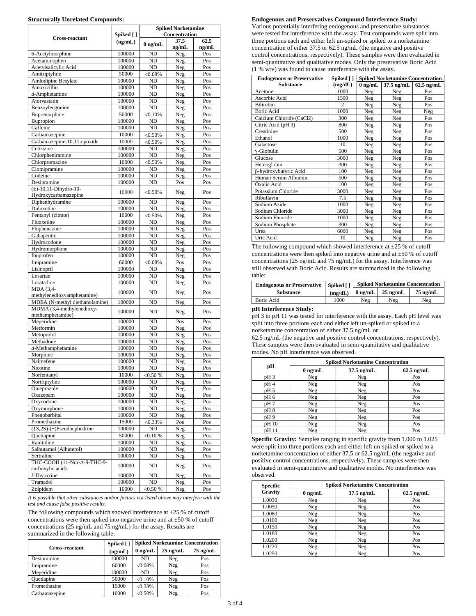### **Structurally Unrelated Compounds:**

|                                                              |                  | <b>Spiked Norketamine</b>             |               |               |  |
|--------------------------------------------------------------|------------------|---------------------------------------|---------------|---------------|--|
| Cross-reactant                                               | Spiked [ ]       |                                       | Concentration |               |  |
|                                                              | (ng/mL)          | $0$ ng/mL                             | 37.5<br>ng/mL | 62.5<br>ng/mL |  |
| 6-Acetylmorphine                                             | 100000           | N <sub>D</sub>                        | Neg           | Pos           |  |
| Acetaminophen                                                | 100000           | ND                                    | Neg           | Pos           |  |
| Acetylsalicylic Acid                                         | 100000           | N <sub>D</sub>                        | Neg           | Pos           |  |
| Amitriptyline                                                | 50000            | < 0.08%                               | Neg           | Pos           |  |
| Amlodipine Besylate                                          | 100000           | N <sub>D</sub>                        | Neg           | Pos           |  |
| Amoxicillin                                                  | 100000           | N <sub>D</sub>                        | Neg           | Pos           |  |
| $d$ -Amphetamine                                             | 100000           | N <sub>D</sub>                        | Neg           | Pos           |  |
| Atorvastatin                                                 | 100000           | ND                                    | Neg           | Pos           |  |
| Benzoylecgonine<br>Buprenorphine                             | 100000<br>50000  | <b>ND</b><br>< 0.10%                  | Neg<br>Neg    | Pos<br>Pos    |  |
| Bupropion                                                    | 100000           | ND                                    | Neg           | Pos           |  |
| Caffeine                                                     | 100000           | N <sub>D</sub>                        | Neg           | Pos           |  |
| Carbamazepine                                                | 10000            | $< 0.50\%$                            | Neg           | Pos           |  |
| Carbamazepine-10,11-epoxide                                  | 10000            | $< 0.50\%$                            | Neg           | Pos           |  |
| Cetirizine                                                   | 100000           | ND                                    | Neg           | Pos           |  |
| Chlorpheniramine                                             | 100000           | N <sub>D</sub>                        | Neg           | Pos           |  |
| Chlorpromazine                                               | 10000            | $< 0.50\%$                            | Neg           | Pos           |  |
| Clomipramine                                                 | 100000           | ND                                    | Neg           | Pos           |  |
| Codeine                                                      | 100000           | <b>ND</b>                             | Neg           | Pos           |  |
| Desipramine                                                  | 100000           | N <sub>D</sub>                        | Pos           | Pos           |  |
| $(\pm)$ -10,11-Dihydro-10-<br>Hydroxycarbamazepine           | 10000            | $< 0.50\%$                            | Neg           | Pos           |  |
| Diphenhydramine                                              | 100000           | ND                                    | Neg           | Pos           |  |
| Duloxetine                                                   | 100000           | N <sub>D</sub>                        | Neg           | Pos           |  |
| Fentanyl (citrate)                                           | 10000            | $< 0.50\%$                            | Neg           | Pos           |  |
| Fluoxetine                                                   | 100000           | ND                                    | Neg           | Pos           |  |
| Fluphenazine                                                 | 100000           | ND                                    | Neg           | Pos           |  |
| Gabapentin                                                   | 100000           | ND                                    | Neg           | Pos           |  |
| Hydrocodone                                                  | 100000           | ND                                    | Neg           | Pos           |  |
| Hydromorphone                                                | 100000           | ND                                    | Neg           | Pos           |  |
| Ibuprofen                                                    | 100000           | <b>ND</b>                             | Neg           | Pos           |  |
| Imipramine<br>Lisinopril                                     | 60000<br>100000  | < 0.08%<br><b>ND</b>                  | Pos<br>Neg    | Pos<br>Pos    |  |
| Losartan                                                     | 100000           | ND                                    | Neg           | Pos           |  |
| Loratadine                                                   | 100000           | <b>ND</b>                             | Neg           | Pos           |  |
| MDA (3,4-                                                    | 100000           | ND.                                   | Neg           | Pos           |  |
| methylenedioxyamphetamine)<br>MDEA (N-methyl diethanolamine) | 100000           | N <sub>D</sub>                        | Neg           | Pos           |  |
| MDMA (3,4-methylenedioxy-                                    |                  |                                       |               |               |  |
| methamphetamine)                                             | 100000           | ND                                    | Neg           | Pos           |  |
| Meperidine                                                   | 100000           | ND                                    | Pos           | Pos           |  |
| Metformin                                                    | 100000           | ND                                    | Neg           | Pos           |  |
| Metoprolol<br>Methadone                                      | 100000<br>100000 | N <sub>D</sub><br>$\overline{\rm ND}$ | Neg<br>Neg    | Pos<br>Pos    |  |
| $d$ -Methamphetamine                                         | 100000           | ND                                    | Neg           | Pos           |  |
| Morphine                                                     | 100000           | ND                                    | Neg           | Pos           |  |
| Nalmefene                                                    | 100000           | N <sub>D</sub>                        | Neg           | Pos           |  |
| Nicotine                                                     | 100000           | <b>ND</b>                             | Neg           | Pos           |  |
| Norfentanyl                                                  | 10000            | $<$ 0.50 %                            | Neg           | Pos           |  |
| Nortriptyline                                                | 100000           | ND                                    | Neg           | Pos           |  |
| Omeprazole                                                   | 100000           | ND                                    | Neg           | Pos           |  |
| Oxazepam                                                     | 100000           | ND                                    | Neg           | Pos           |  |
| Oxycodone                                                    | 100000           | ND                                    | Neg           | Pos           |  |
| Oxymorphone                                                  | 100000           | ND                                    | Neg           | Pos           |  |
| Phenobarbital                                                | 100000           | ND                                    | Neg           | Pos           |  |
| Promethazine                                                 | 15000            | $< 0.33\%$                            | Pos           | Pos           |  |
| $(1S,2S)-(+)Pseudoephedrine$                                 | 100000<br>50000  | ND                                    | Neg           | Pos           |  |
| Quetiapine<br>Ranitidine                                     | 100000           | $< 0.10 \%$                           | Neg           | Pos           |  |
| Salbutamol (Albuterol)                                       | 100000           | ND<br>ND                              | Neg<br>Neg    | Pos<br>Pos    |  |
| Sertraline                                                   | 100000           | ND                                    | Neg           | Pos           |  |
| THC-COOH (11-Nor-Δ-9-THC-9-                                  | 100000           | ND                                    | Neg           | Pos           |  |
| carboxylic acid)                                             |                  |                                       |               |               |  |
| l-Thyroxine<br>Tramadol                                      | 100000<br>100000 | ND<br>ND                              | Neg<br>Neg    | Pos<br>Pos    |  |
| Zolpidem                                                     | 10000            | < 0.50 %                              | Neg           | Pos           |  |
|                                                              |                  |                                       |               |               |  |

*It is possible that other substances and/or factors not listed above may interfere with the test and cause false positive results.*

The following compounds which showed interference at  $\pm 25$  % of cutoff concentrations were then spiked into negative urine and at  $\pm 50$  % of cutoff concentrations (25 ng/mL and 75 ng/mL) for the assay. Results are summarized in the following table:

|                       | Spiked [] | <b>Spiked Norketamine Concentration</b> |            |                    |  |  |
|-----------------------|-----------|-----------------------------------------|------------|--------------------|--|--|
| <b>Cross-reactant</b> | (ng/mL)   | $0$ ng/mL                               | $25$ ng/mL | $75 \text{ ng/mL}$ |  |  |
| Desipramine           | 100000    | ND.                                     | Neg        | Pos                |  |  |
| Imipramine            | 60000     | $< 0.08\%$                              | Neg        | Pos                |  |  |
| Meperidine            | 100000    | ND.                                     | Neg        | Pos                |  |  |
| Ouetiapine            | 50000     | < 0.10%                                 | Neg        | Pos                |  |  |
| Promethazine          | 15000     | $< 0.33\%$                              | Neg        | Pos                |  |  |
| Carbamazepine         | 10000     | $< 0.50\%$                              | Neg        | Pos                |  |  |

#### **Endogenous and Preservatives Compound Interference Study:**

Various potentially interfering endogenous and preservative substances were tested for interference with the assay. Test compounds were split into three portions each and either left un-spiked or spiked to a norketamine concentration of either 37.5 or 62.5 ng/mL (the negative and positive control concentrations, respectively). These samples were then evaluated in semi-quantitative and qualitative modes. Only the preservative Boric Acid (1 % w/v) was found to cause interference with the assay.

| <b>Endogenous or Preservative</b> | Spiked []      | <b>Spiked Norketamine Concentration</b> |              |              |
|-----------------------------------|----------------|-----------------------------------------|--------------|--------------|
| <b>Substance</b>                  | (mg/dL)        | $0 \text{ ng/mL}$                       | $37.5$ ng/mL | $62.5$ ng/mL |
| Acetone                           | 1000           | Neg                                     | Neg          | Pos          |
| Ascorbic Acid                     | 1500           | Neg                                     | Neg          | Pos          |
| <b>Bilirubin</b>                  | $\overline{c}$ | Neg                                     | Neg          | Pos          |
| <b>Boric Acid</b>                 | 1000           | Neg                                     | Neg          | Neg          |
| Calcium Chloride (CaCl2)          | 300            | Neg                                     | Neg          | Pos          |
| Citric Acid (pH 3)                | 800            | Neg                                     | Neg          | Pos          |
| Creatinine                        | 500            | Neg                                     | Neg          | Pos          |
| Ethanol                           | 1000           | Neg                                     | Neg          | Pos          |
| Galactose                         | 10             | Neg                                     | Neg          | Pos          |
| $v$ -Globulin                     | 500            | Neg                                     | Neg          | Pos          |
| Glucose                           | 3000           | <b>Neg</b>                              | Neg          | Pos          |
| Hemoglobin                        | 300            | Neg                                     | Neg          | Pos          |
| β-hydroxybutyric Acid             | 100            | Neg                                     | Neg          | Pos          |
| Human Serum Albumin               | 500            | Neg                                     | Neg          | Pos          |
| Oxalic Acid                       | 100            | Neg                                     | Neg          | Pos          |
| Potassium Chloride                | 3000           | Neg                                     | Neg          | Pos          |
| Riboflavin                        | 7.5            | Neg                                     | Neg          | Pos          |
| Sodium Azide                      | 1000           | Neg                                     | Neg          | Pos          |
| Sodium Chloride                   | 3000           | Neg                                     | Neg          | Pos          |
| Sodium Fluoride                   | 1000           | Neg                                     | Neg          | Pos          |
| Sodium Phosphate                  | 300            | Neg                                     | Neg          | Pos          |
| Urea                              | 6000           | Neg                                     | Neg          | Pos          |
| Uric Acid                         | 10             | Neg                                     | Neg          | Pos          |

The following compound which showed interference at  $\pm 25$  % of cutoff concentrations were then spiked into negative urine and at  $\pm 50$  % of cutoff concentrations (25 ng/mL and 75 ng/mL) for the assay. Interference was still observed with Boric Acid. Results are summarized in the following table:

| Endogenous or Preservative   Spiked [] |         | <b>Spiked Norketamine Concentration</b> |                    |            |
|----------------------------------------|---------|-----------------------------------------|--------------------|------------|
| <b>Substance</b>                       | (mg/dL) | $0 \text{ ng/mL}$                       | $25 \text{ ng/mL}$ | $75$ ng/mL |
| Boric Acid                             | 1000    | Neg                                     | Neg                | Neg        |

### **pH Interference Study:**

pH 3 to pH 11 was tested for interference with the assay. Each pH level was split into three portions each and either left un-spiked or spiked to a norketamine concentration of either 37.5 ng/mL or

62.5 ng/mL (the negative and positive control concentrations, respectively). These samples were then evaluated in semi-quantitative and qualitative modes. No pH interference was observed.

| pН              | <b>Spiked Norketamine Concentration</b> |              |              |  |
|-----------------|-----------------------------------------|--------------|--------------|--|
|                 | $0$ ng/mL                               | $37.5$ ng/mL | $62.5$ ng/mL |  |
| pH <sub>3</sub> | Neg                                     | Neg          | Pos          |  |
| pH4             | Neg                                     | Neg          | Pos          |  |
| pH 5            | Neg                                     | Neg          | Pos          |  |
| pH 6            | Neg                                     | Neg          | Pos          |  |
| pH7             | Neg                                     | Neg          | Pos          |  |
| pH8             | Neg                                     | Neg          | Pos          |  |
| pH9             | Neg                                     | Neg          | Pos          |  |
| pH 10           | Neg                                     | Neg          | Pos          |  |
| pH 11           | Neg                                     | Neg          | Pos          |  |

**Specific Gravity:** Samples ranging in specific gravity from 1.000 to 1.025 were split into three portions each and either left un-spiked or spiked to a norketamine concentration of either 37.5 or 62.5 ng/mL (the negative and positive control concentrations, respectively). These samples were then evaluated in semi-quantitative and qualitative modes. No interference was observed.

| Specific | <b>Spiked Norketamine Concentration</b> |              |              |  |
|----------|-----------------------------------------|--------------|--------------|--|
| Gravity  | $0$ ng/mL                               | $37.5$ ng/mL | $62.5$ ng/mL |  |
| 1.0030   | Neg                                     | Neg          | Pos          |  |
| 1.0050   | Neg                                     | Neg          | Pos          |  |
| 1.0080   | Neg                                     | Neg          | Pos          |  |
| 1.0100   | Neg                                     | Neg          | Pos          |  |
| 1.0150   | Neg                                     | Neg          | Pos          |  |
| 1.0180   | Neg                                     | Neg          | Pos          |  |
| 1.0200   | Neg                                     | Neg          | Pos          |  |
| 1.0220   | Neg                                     | Neg          | Pos          |  |
| 1.0250   | Neg                                     | Neg          | Pos          |  |